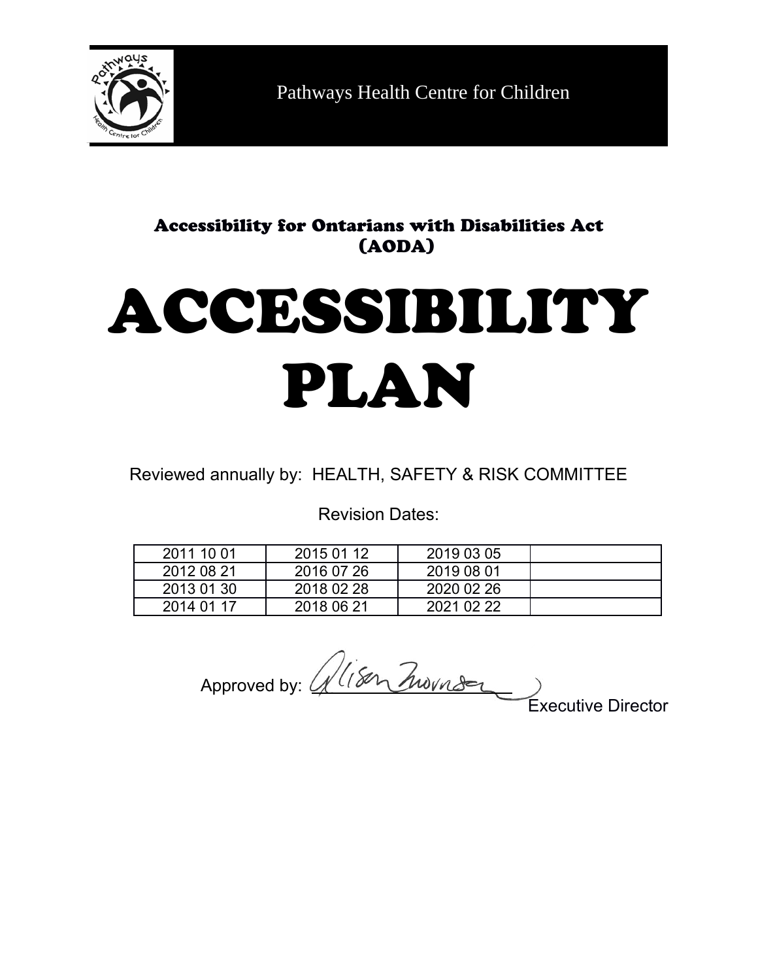

Pathways Health Centre for Children

# Accessibility for Ontarians with Disabilities Act (AODA)

# ACCESSIBILITY PLAN

Reviewed annually by: HEALTH, SAFETY & RISK COMMITTEE

Revision Dates:

| 2011 10 01 | 2015 01 12 | 2019 03 05 |  |
|------------|------------|------------|--|
| 2012 08 21 | 2016 07 26 | 2019 08 01 |  |
| 2013 01 30 | 2018 02 28 | 2020 02 26 |  |
| 2014 01 17 | 2018 06 21 | 2021 02 22 |  |

Approved by: <u>4</u>

Executive Director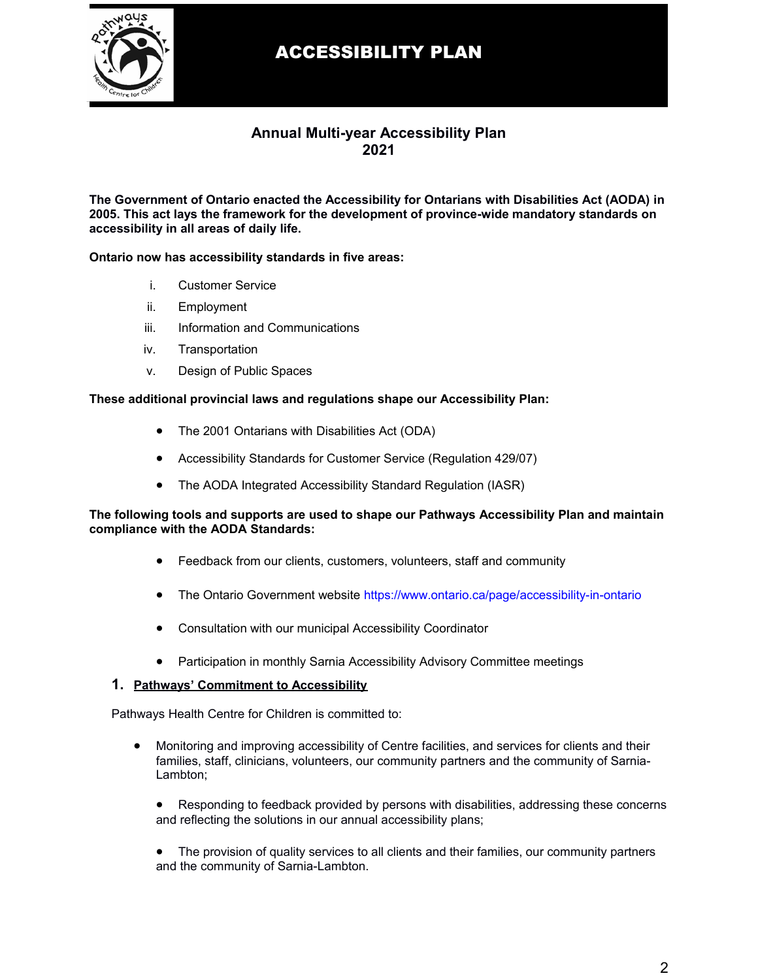

#### **Annual Multi-year Accessibility Plan 2021**

**The Government of Ontario enacted the Accessibility for Ontarians with Disabilities Act (AODA) in 2005. This act lays the framework for the development of province-wide mandatory standards on accessibility in all areas of daily life.**

#### **Ontario now has accessibility standards in five areas:**

- i. Customer Service
- ii. Employment
- iii. Information and Communications
- iv. Transportation
- v. Design of Public Spaces

#### **These additional provincial laws and regulations shape our Accessibility Plan:**

- The 2001 Ontarians with Disabilities Act (ODA)
- Accessibility Standards for Customer Service (Regulation 429/07)
- The AODA Integrated Accessibility Standard Regulation (IASR)

#### **The following tools and supports are used to shape our Pathways Accessibility Plan and maintain compliance with the AODA Standards:**

- Feedback from our clients, customers, volunteers, staff and community
- The Ontario Government website<https://www.ontario.ca/page/accessibility-in-ontario>
- Consultation with our municipal Accessibility Coordinator
- Participation in monthly Sarnia Accessibility Advisory Committee meetings

#### **1. Pathways' Commitment to Accessibility**

Pathways Health Centre for Children is committed to:

- Monitoring and improving accessibility of Centre facilities, and services for clients and their families, staff, clinicians, volunteers, our community partners and the community of Sarnia-Lambton;
	- Responding to feedback provided by persons with disabilities, addressing these concerns and reflecting the solutions in our annual accessibility plans;
	- The provision of quality services to all clients and their families, our community partners and the community of Sarnia-Lambton.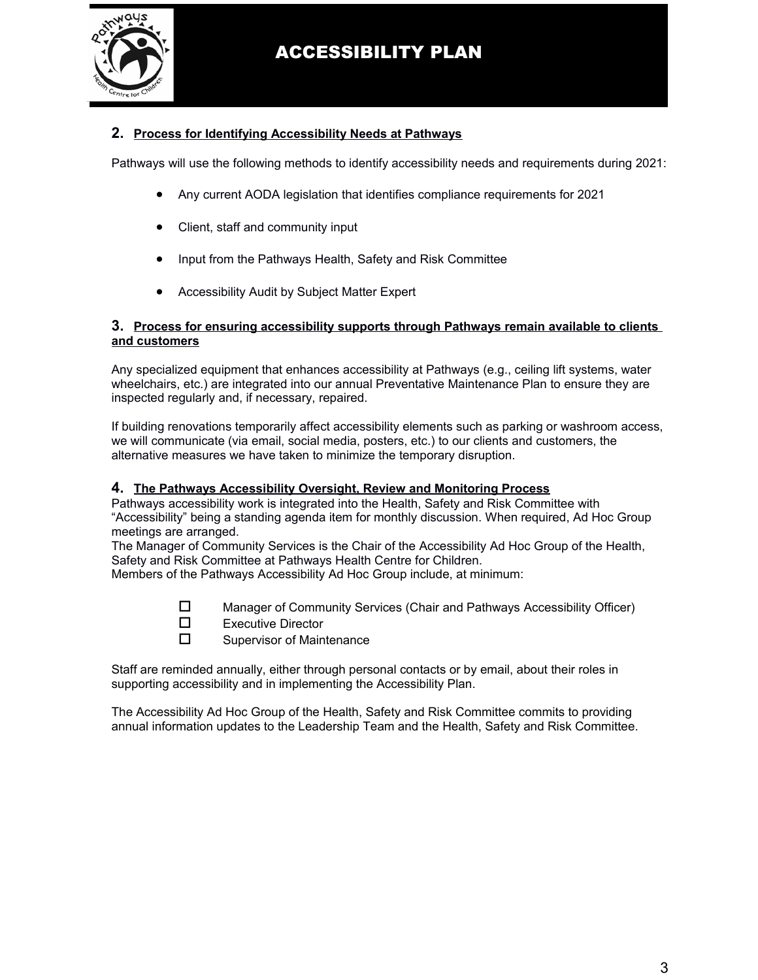

#### **2. Process for Identifying Accessibility Needs at Pathways**

Pathways will use the following methods to identify accessibility needs and requirements during 2021:

- Any current AODA legislation that identifies compliance requirements for 2021
- Client, staff and community input
- Input from the Pathways Health, Safety and Risk Committee
- Accessibility Audit by Subject Matter Expert

#### **3. Process for ensuring accessibility supports through Pathways remain available to clients and customers**

Any specialized equipment that enhances accessibility at Pathways (e.g., ceiling lift systems, water wheelchairs, etc.) are integrated into our annual Preventative Maintenance Plan to ensure they are inspected regularly and, if necessary, repaired.

If building renovations temporarily affect accessibility elements such as parking or washroom access, we will communicate (via email, social media, posters, etc.) to our clients and customers, the alternative measures we have taken to minimize the temporary disruption.

#### **4. The Pathways Accessibility Oversight, Review and Monitoring Process**

Pathways accessibility work is integrated into the Health, Safety and Risk Committee with "Accessibility" being a standing agenda item for monthly discussion. When required, Ad Hoc Group meetings are arranged.

The Manager of Community Services is the Chair of the Accessibility Ad Hoc Group of the Health, Safety and Risk Committee at Pathways Health Centre for Children.

Members of the Pathways Accessibility Ad Hoc Group include, at minimum:

- $\square$  Manager of Community Services (Chair and Pathways Accessibility Officer)
- $\square$  Executive Director
- $\square$  Supervisor of Maintenance

Staff are reminded annually, either through personal contacts or by email, about their roles in supporting accessibility and in implementing the Accessibility Plan.

The Accessibility Ad Hoc Group of the Health, Safety and Risk Committee commits to providing annual information updates to the Leadership Team and the Health, Safety and Risk Committee.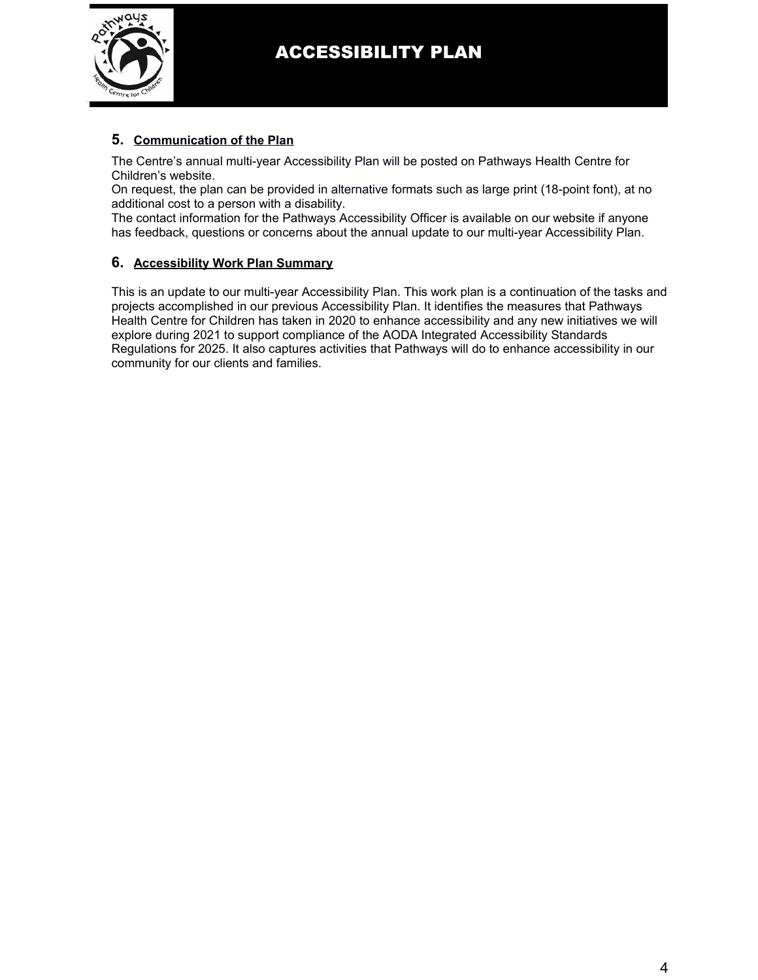

#### **5. Communication of the Plan**

The Centre's annual multi-year Accessibility Plan will be posted on Pathways Health Centre for Children's website.

On request, the plan can be provided in alternative formats such as large print (18-point font), at no additional cost to a person with a disability.

The contact information for the Pathways Accessibility Officer is available on our website if anyone has feedback, questions or concerns about the annual update to our multi-year Accessibility Plan.

#### **6. Accessibility Work Plan Summary**

This is an update to our multi-year Accessibility Plan. This work plan is a continuation of the tasks and projects accomplished in our previous Accessibility Plan. It identifies the measures that Pathways Health Centre for Children has taken in 2020 to enhance accessibility and any new initiatives we will explore during 2021 to support compliance of the AODA Integrated Accessibility Standards Regulations for 2025. It also captures activities that Pathways will do to enhance accessibility in our community for our clients and families.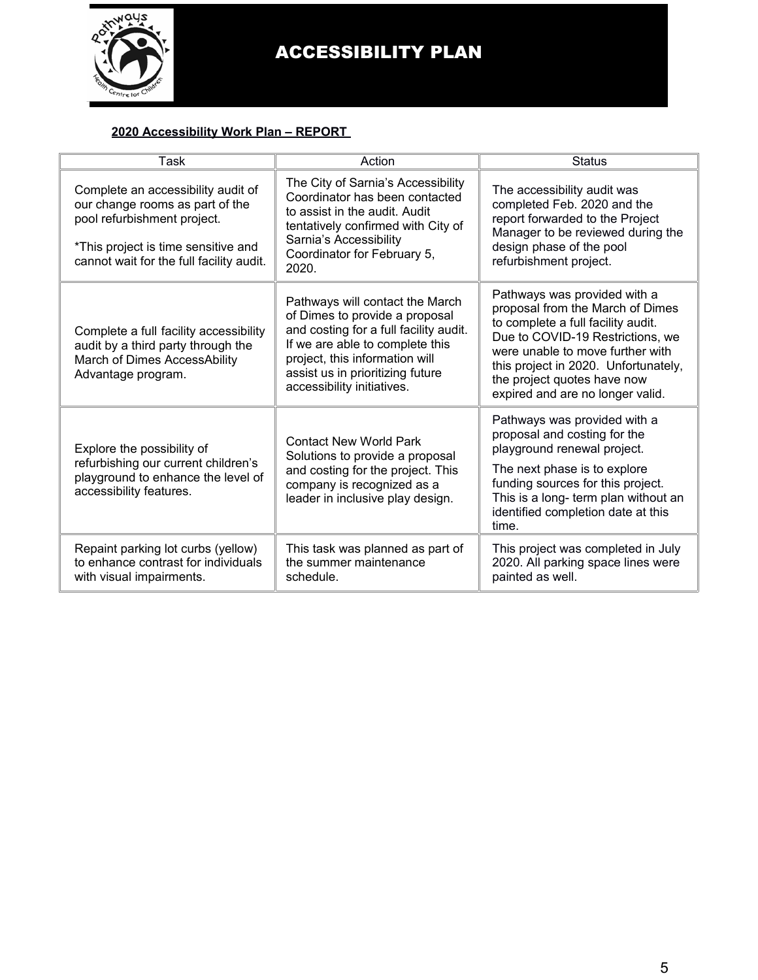

#### **2020 Accessibility Work Plan – REPORT**

| Task                                                                                                                                                                                    | Action                                                                                                                                                                                                                                             | <b>Status</b>                                                                                                                                                                                                                                                                             |  |
|-----------------------------------------------------------------------------------------------------------------------------------------------------------------------------------------|----------------------------------------------------------------------------------------------------------------------------------------------------------------------------------------------------------------------------------------------------|-------------------------------------------------------------------------------------------------------------------------------------------------------------------------------------------------------------------------------------------------------------------------------------------|--|
| Complete an accessibility audit of<br>our change rooms as part of the<br>pool refurbishment project.<br>*This project is time sensitive and<br>cannot wait for the full facility audit. | The City of Sarnia's Accessibility<br>Coordinator has been contacted<br>to assist in the audit. Audit<br>tentatively confirmed with City of<br>Sarnia's Accessibility<br>Coordinator for February 5,<br>2020.                                      | The accessibility audit was<br>completed Feb. 2020 and the<br>report forwarded to the Project<br>Manager to be reviewed during the<br>design phase of the pool<br>refurbishment project.                                                                                                  |  |
| Complete a full facility accessibility<br>audit by a third party through the<br>March of Dimes AccessAbility<br>Advantage program.                                                      | Pathways will contact the March<br>of Dimes to provide a proposal<br>and costing for a full facility audit.<br>If we are able to complete this<br>project, this information will<br>assist us in prioritizing future<br>accessibility initiatives. | Pathways was provided with a<br>proposal from the March of Dimes<br>to complete a full facility audit.<br>Due to COVID-19 Restrictions, we<br>were unable to move further with<br>this project in 2020. Unfortunately,<br>the project quotes have now<br>expired and are no longer valid. |  |
| Explore the possibility of<br>refurbishing our current children's<br>playground to enhance the level of<br>accessibility features.                                                      | <b>Contact New World Park</b><br>Solutions to provide a proposal<br>and costing for the project. This<br>company is recognized as a<br>leader in inclusive play design.                                                                            | Pathways was provided with a<br>proposal and costing for the<br>playground renewal project.<br>The next phase is to explore<br>funding sources for this project.<br>This is a long- term plan without an<br>identified completion date at this<br>time.                                   |  |
| Repaint parking lot curbs (yellow)<br>to enhance contrast for individuals<br>with visual impairments.                                                                                   | This task was planned as part of<br>the summer maintenance<br>schedule.                                                                                                                                                                            | This project was completed in July<br>2020. All parking space lines were<br>painted as well.                                                                                                                                                                                              |  |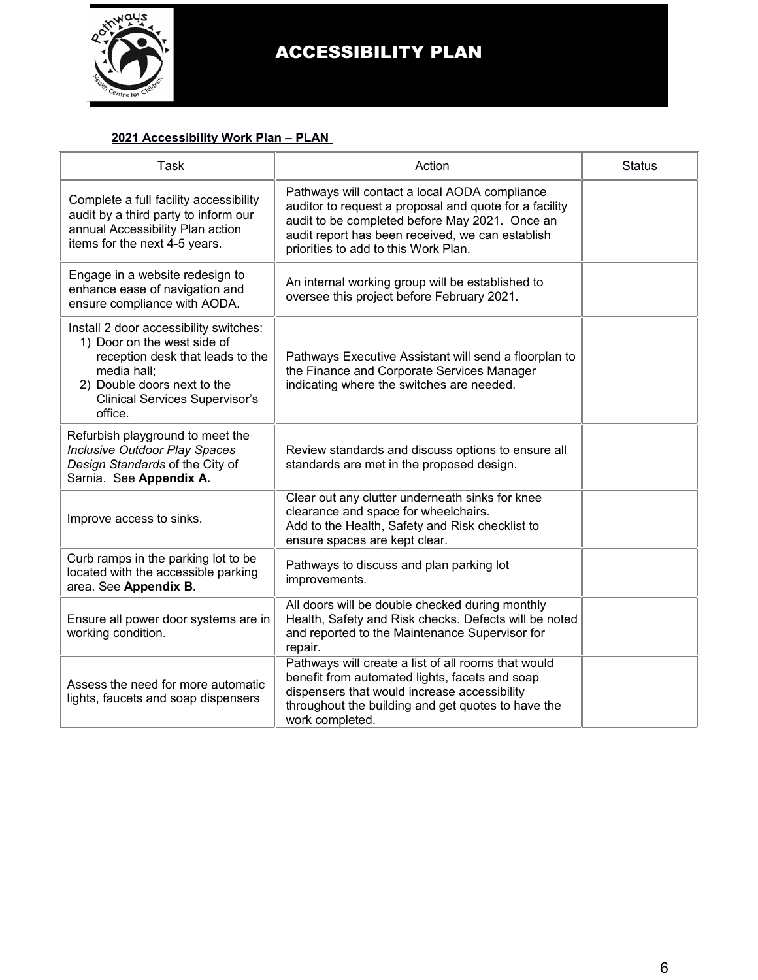

#### **2021 Accessibility Work Plan – PLAN**

| <b>Task</b>                                                                                                                                                                                                 | Action                                                                                                                                                                                                                                                | <b>Status</b> |
|-------------------------------------------------------------------------------------------------------------------------------------------------------------------------------------------------------------|-------------------------------------------------------------------------------------------------------------------------------------------------------------------------------------------------------------------------------------------------------|---------------|
| Complete a full facility accessibility<br>audit by a third party to inform our<br>annual Accessibility Plan action<br>items for the next 4-5 years.                                                         | Pathways will contact a local AODA compliance<br>auditor to request a proposal and quote for a facility<br>audit to be completed before May 2021. Once an<br>audit report has been received, we can establish<br>priorities to add to this Work Plan. |               |
| Engage in a website redesign to<br>enhance ease of navigation and<br>ensure compliance with AODA.                                                                                                           | An internal working group will be established to<br>oversee this project before February 2021.                                                                                                                                                        |               |
| Install 2 door accessibility switches:<br>1) Door on the west side of<br>reception desk that leads to the<br>media hall;<br>2) Double doors next to the<br><b>Clinical Services Supervisor's</b><br>office. | Pathways Executive Assistant will send a floorplan to<br>the Finance and Corporate Services Manager<br>indicating where the switches are needed.                                                                                                      |               |
| Refurbish playground to meet the<br><b>Inclusive Outdoor Play Spaces</b><br>Design Standards of the City of<br>Sarnia. See Appendix A.                                                                      | Review standards and discuss options to ensure all<br>standards are met in the proposed design.                                                                                                                                                       |               |
| Improve access to sinks.                                                                                                                                                                                    | Clear out any clutter underneath sinks for knee<br>clearance and space for wheelchairs.<br>Add to the Health, Safety and Risk checklist to<br>ensure spaces are kept clear.                                                                           |               |
| Curb ramps in the parking lot to be<br>located with the accessible parking<br>area. See Appendix B.                                                                                                         | Pathways to discuss and plan parking lot<br>improvements.                                                                                                                                                                                             |               |
| Ensure all power door systems are in<br>working condition.                                                                                                                                                  | All doors will be double checked during monthly<br>Health, Safety and Risk checks. Defects will be noted<br>and reported to the Maintenance Supervisor for<br>repair.                                                                                 |               |
| Assess the need for more automatic<br>lights, faucets and soap dispensers                                                                                                                                   | Pathways will create a list of all rooms that would<br>benefit from automated lights, facets and soap<br>dispensers that would increase accessibility<br>throughout the building and get quotes to have the<br>work completed.                        |               |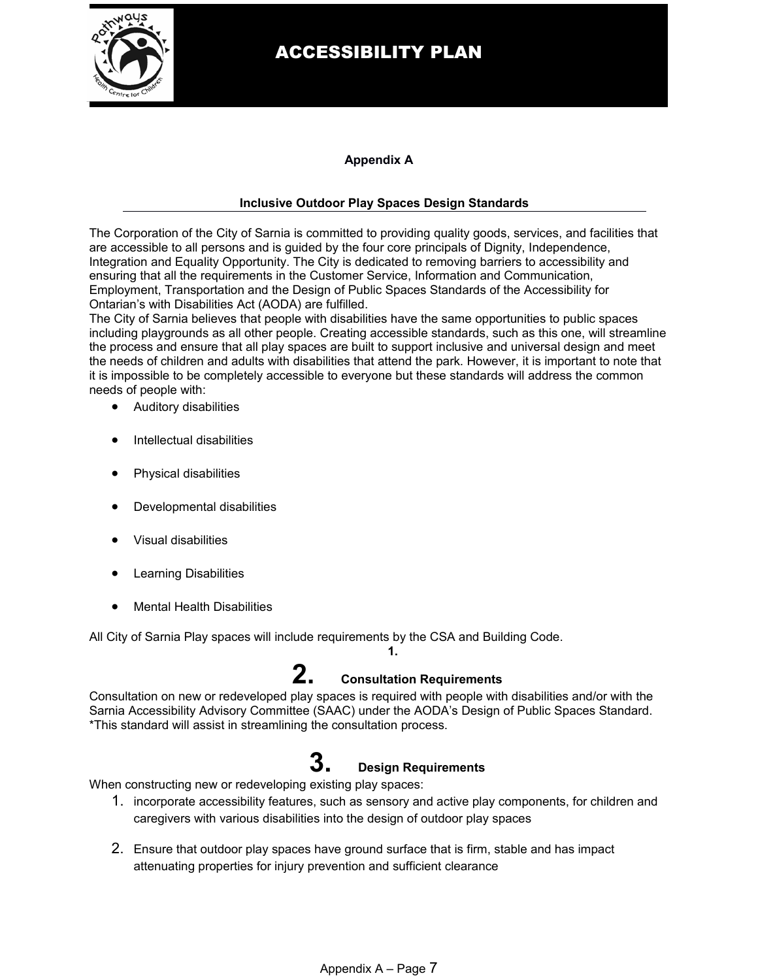

#### **Appendix A**

#### **Inclusive Outdoor Play Spaces Design Standards**

The Corporation of the City of Sarnia is committed to providing quality goods, services, and facilities that are accessible to all persons and is guided by the four core principals of Dignity, Independence, Integration and Equality Opportunity. The City is dedicated to removing barriers to accessibility and ensuring that all the requirements in the Customer Service, Information and Communication, Employment, Transportation and the Design of Public Spaces Standards of the Accessibility for Ontarian's with Disabilities Act (AODA) are fulfilled.

The City of Sarnia believes that people with disabilities have the same opportunities to public spaces including playgrounds as all other people. Creating accessible standards, such as this one, will streamline the process and ensure that all play spaces are built to support inclusive and universal design and meet the needs of children and adults with disabilities that attend the park. However, it is important to note that it is impossible to be completely accessible to everyone but these standards will address the common needs of people with:

- Auditory disabilities
- Intellectual disabilities
- Physical disabilities
- Developmental disabilities
- Visual disabilities
- Learning Disabilities
- Mental Health Disabilities

All City of Sarnia Play spaces will include requirements by the CSA and Building Code.

### **2. Consultation Requirements**

**1.**

Consultation on new or redeveloped play spaces is required with people with disabilities and/or with the Sarnia Accessibility Advisory Committee (SAAC) under the AODA's Design of Public Spaces Standard. \*This standard will assist in streamlining the consultation process.

# **3. Design Requirements**

When constructing new or redeveloping existing play spaces:

- 1. incorporate accessibility features, such as sensory and active play components, for children and caregivers with various disabilities into the design of outdoor play spaces
- 2. Ensure that outdoor play spaces have ground surface that is firm, stable and has impact attenuating properties for injury prevention and sufficient clearance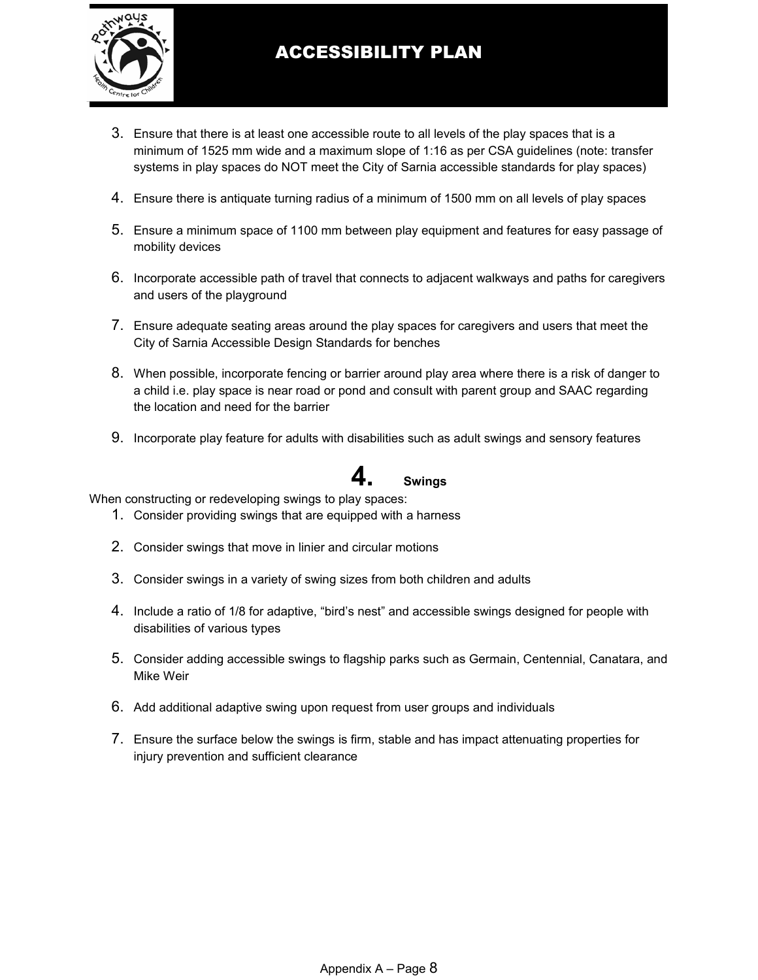

- 3. Ensure that there is at least one accessible route to all levels of the play spaces that is a minimum of 1525 mm wide and a maximum slope of 1:16 as per CSA guidelines (note: transfer systems in play spaces do NOT meet the City of Sarnia accessible standards for play spaces)
- 4. Ensure there is antiquate turning radius of a minimum of 1500 mm on all levels of play spaces
- 5. Ensure a minimum space of 1100 mm between play equipment and features for easy passage of mobility devices
- 6. Incorporate accessible path of travel that connects to adjacent walkways and paths for caregivers and users of the playground
- 7. Ensure adequate seating areas around the play spaces for caregivers and users that meet the City of Sarnia Accessible Design Standards for benches
- 8. When possible, incorporate fencing or barrier around play area where there is a risk of danger to a child i.e. play space is near road or pond and consult with parent group and SAAC regarding the location and need for the barrier
- 9. Incorporate play feature for adults with disabilities such as adult swings and sensory features

# **4. Swings**

When constructing or redeveloping swings to play spaces:

- 1. Consider providing swings that are equipped with a harness
- 2. Consider swings that move in linier and circular motions
- 3. Consider swings in a variety of swing sizes from both children and adults
- 4. Include a ratio of 1/8 for adaptive, "bird's nest" and accessible swings designed for people with disabilities of various types
- 5. Consider adding accessible swings to flagship parks such as Germain, Centennial, Canatara, and Mike Weir
- 6. Add additional adaptive swing upon request from user groups and individuals
- 7. Ensure the surface below the swings is firm, stable and has impact attenuating properties for injury prevention and sufficient clearance